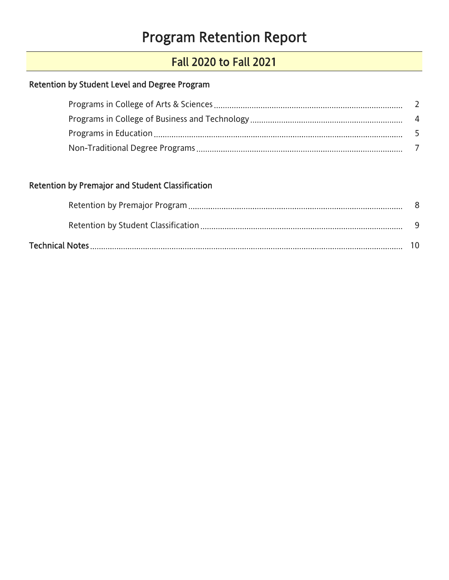# Program Retention Report

# Fall 2020 to Fall 2021

### <span id="page-0-0"></span>Retention by Student Level and Degree Program

### Retention by Premajor and Student Classification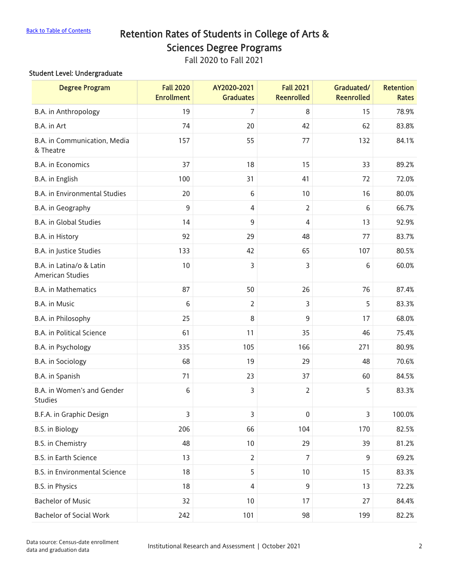### <span id="page-1-0"></span>[Back to Table of Contents](#page-0-0) Retention Rates of Students in College of Arts & Sciences Degree Programs

Fall 2020 to Fall 2021

#### Student Level: Undergraduate

| <b>Degree Program</b>                               | <b>Fall 2020</b><br><b>Enrollment</b> | AY2020-2021<br><b>Graduates</b> | <b>Fall 2021</b><br><b>Reenrolled</b> | Graduated/<br><b>Reenrolled</b> | <b>Retention</b><br><b>Rates</b> |
|-----------------------------------------------------|---------------------------------------|---------------------------------|---------------------------------------|---------------------------------|----------------------------------|
| B.A. in Anthropology                                | 19                                    | 7                               | 8                                     | 15                              | 78.9%                            |
| B.A. in Art                                         | 74                                    | 20                              | 42                                    | 62                              | 83.8%                            |
| B.A. in Communication, Media<br>& Theatre           | 157                                   | 55                              | 77                                    | 132                             | 84.1%                            |
| <b>B.A.</b> in Economics                            | 37                                    | 18                              | 15                                    | 33                              | 89.2%                            |
| B.A. in English                                     | 100                                   | 31                              | 41                                    | 72                              | 72.0%                            |
| <b>B.A.</b> in Environmental Studies                | 20                                    | $6\,$                           | 10                                    | 16                              | 80.0%                            |
| B.A. in Geography                                   | 9                                     | $\overline{4}$                  | $\overline{2}$                        | 6                               | 66.7%                            |
| <b>B.A.</b> in Global Studies                       | 14                                    | 9                               | 4                                     | 13                              | 92.9%                            |
| B.A. in History                                     | 92                                    | 29                              | 48                                    | 77                              | 83.7%                            |
| B.A. in Justice Studies                             | 133                                   | 42                              | 65                                    | 107                             | 80.5%                            |
| B.A. in Latina/o & Latin<br><b>American Studies</b> | 10                                    | 3                               | 3                                     | 6                               | 60.0%                            |
| <b>B.A.</b> in Mathematics                          | 87                                    | 50                              | 26                                    | 76                              | 87.4%                            |
| B.A. in Music                                       | 6                                     | $\overline{2}$                  | $\overline{3}$                        | 5                               | 83.3%                            |
| B.A. in Philosophy                                  | 25                                    | 8                               | 9                                     | 17                              | 68.0%                            |
| <b>B.A.</b> in Political Science                    | 61                                    | 11                              | 35                                    | 46                              | 75.4%                            |
| B.A. in Psychology                                  | 335                                   | 105                             | 166                                   | 271                             | 80.9%                            |
| B.A. in Sociology                                   | 68                                    | 19                              | 29                                    | 48                              | 70.6%                            |
| B.A. in Spanish                                     | 71                                    | 23                              | 37                                    | 60                              | 84.5%                            |
| B.A. in Women's and Gender<br><b>Studies</b>        | 6                                     | 3                               | $\overline{2}$                        | 5                               | 83.3%                            |
| B.F.A. in Graphic Design                            | 3                                     | 3                               | $\pmb{0}$                             | 3                               | 100.0%                           |
| B.S. in Biology                                     | 206                                   | 66                              | 104                                   | 170                             | 82.5%                            |
| B.S. in Chemistry                                   | 48                                    | 10                              | 29                                    | 39                              | 81.2%                            |
| B.S. in Earth Science                               | 13                                    | $\overline{2}$                  | $\overline{7}$                        | 9                               | 69.2%                            |
| <b>B.S. in Environmental Science</b>                | 18                                    | 5                               | 10                                    | 15                              | 83.3%                            |
| B.S. in Physics                                     | 18                                    | $\overline{4}$                  | 9                                     | 13                              | 72.2%                            |
| <b>Bachelor of Music</b>                            | 32                                    | 10                              | 17                                    | 27                              | 84.4%                            |
| <b>Bachelor of Social Work</b>                      | 242                                   | 101                             | 98                                    | 199                             | 82.2%                            |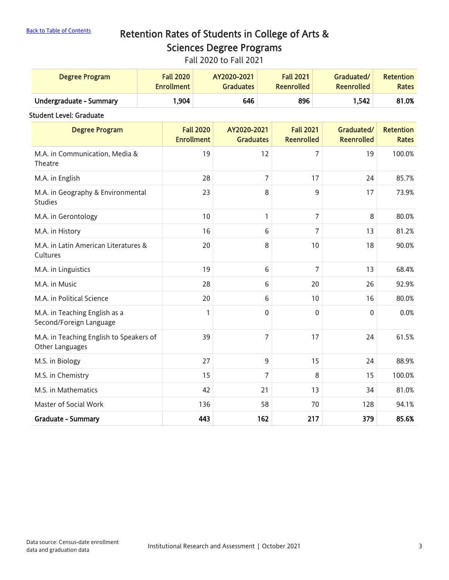# [Back to Table of Contents](#page-0-0) Retention Rates of Students in College of Arts & Sciences Degree Programs

Fall 2020 to Fall 2021

| Degree Program          | <b>Fall 2020</b>  | AY2020-2021      | <b>Fall 2021</b>  | Graduated/        | <b>Retention</b> |
|-------------------------|-------------------|------------------|-------------------|-------------------|------------------|
|                         | <b>Enrollment</b> | <b>Graduates</b> | <b>Reenrolled</b> | <b>Reenrolled</b> | <b>Rates</b>     |
| Undergraduate - Summary | .904              | 646              | 896               | 1,542             | 81.0%            |

#### Student Level: Graduate

| <b>Degree Program</b>                                      | <b>Fall 2020</b><br><b>Enrollment</b> | AY2020-2021<br><b>Graduates</b> | <b>Fall 2021</b><br><b>Reenrolled</b> | Graduated/<br><b>Reenrolled</b> | <b>Retention</b><br><b>Rates</b> |
|------------------------------------------------------------|---------------------------------------|---------------------------------|---------------------------------------|---------------------------------|----------------------------------|
| M.A. in Communication, Media &<br>Theatre                  | 19                                    | 12                              | 7                                     | 19                              | 100.0%                           |
| M.A. in English                                            | 28                                    | 7                               | 17                                    | 24                              | 85.7%                            |
| M.A. in Geography & Environmental<br><b>Studies</b>        | 23                                    | 8                               | 9                                     | 17                              | 73.9%                            |
| M.A. in Gerontology                                        | 10                                    | 1                               | 7                                     | 8                               | 80.0%                            |
| M.A. in History                                            | 16                                    | 6                               | 7                                     | 13                              | 81.2%                            |
| M.A. in Latin American Literatures &<br>Cultures           | 20                                    | 8                               | 10                                    | 18                              | 90.0%                            |
| M.A. in Linguistics                                        | 19                                    | 6                               | 7                                     | 13                              | 68.4%                            |
| M.A. in Music                                              | 28                                    | 6                               | 20                                    | 26                              | 92.9%                            |
| M.A. in Political Science                                  | 20                                    | 6                               | 10                                    | 16                              | 80.0%                            |
| M.A. in Teaching English as a<br>Second/Foreign Language   | 1                                     | $\mathbf 0$                     | $\mathbf 0$                           | 0                               | 0.0%                             |
| M.A. in Teaching English to Speakers of<br>Other Languages | 39                                    | $\overline{7}$                  | 17                                    | 24                              | 61.5%                            |
| M.S. in Biology                                            | 27                                    | 9                               | 15                                    | 24                              | 88.9%                            |
| M.S. in Chemistry                                          | 15                                    | 7                               | 8                                     | 15                              | 100.0%                           |
| M.S. in Mathematics                                        | 42                                    | 21                              | 13                                    | 34                              | 81.0%                            |
| Master of Social Work                                      | 136                                   | 58                              | 70                                    | 128                             | 94.1%                            |
| <b>Graduate - Summary</b>                                  | 443                                   | 162                             | 217                                   | 379                             | 85.6%                            |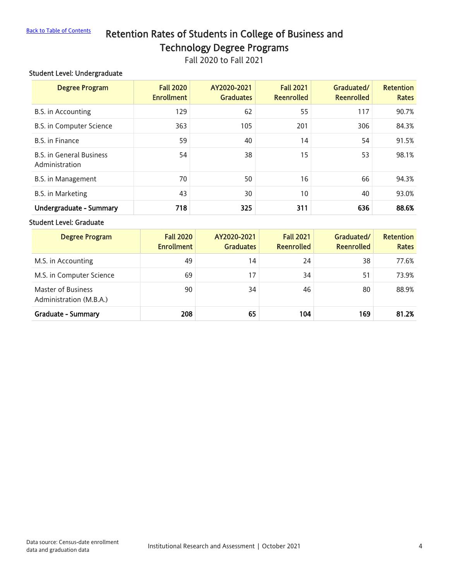### <span id="page-3-0"></span>[Back to Table of Contents](#page-0-0) Retention Rates of Students in College of Business and Technology Degree Programs

Fall 2020 to Fall 2021

#### Student Level: Undergraduate

| <b>Degree Program</b>                             | <b>Fall 2020</b><br><b>Enrollment</b> | AY2020-2021<br><b>Graduates</b> | <b>Fall 2021</b><br><b>Reenrolled</b> | Graduated/<br><b>Reenrolled</b> | <b>Retention</b><br><b>Rates</b> |
|---------------------------------------------------|---------------------------------------|---------------------------------|---------------------------------------|---------------------------------|----------------------------------|
| B.S. in Accounting                                | 129                                   | 62                              | 55                                    | 117                             | 90.7%                            |
| B.S. in Computer Science                          | 363                                   | 105                             | 201                                   | 306                             | 84.3%                            |
| B.S. in Finance                                   | 59                                    | 40                              | 14                                    | 54                              | 91.5%                            |
| <b>B.S. in General Business</b><br>Administration | 54                                    | 38                              | 15                                    | 53                              | 98.1%                            |
| B.S. in Management                                | 70                                    | 50                              | 16                                    | 66                              | 94.3%                            |
| B.S. in Marketing                                 | 43                                    | 30                              | 10 <sup>°</sup>                       | 40                              | 93.0%                            |
| Undergraduate - Summary                           | 718                                   | 325                             | 311                                   | 636                             | 88.6%                            |

#### Student Level: Graduate

| <b>Degree Program</b>                         | <b>Fall 2020</b><br><b>Enrollment</b> | AY2020-2021<br><b>Graduates</b> | <b>Fall 2021</b><br><b>Reenrolled</b> | Graduated/<br><b>Reenrolled</b> | <b>Retention</b><br><b>Rates</b> |
|-----------------------------------------------|---------------------------------------|---------------------------------|---------------------------------------|---------------------------------|----------------------------------|
| M.S. in Accounting                            | 49                                    | 14                              | 24                                    | 38                              | 77.6%                            |
| M.S. in Computer Science                      | 69                                    | 17                              | 34                                    | 51                              | 73.9%                            |
| Master of Business<br>Administration (M.B.A.) | 90                                    | 34                              | 46                                    | 80                              | 88.9%                            |
| <b>Graduate - Summary</b>                     | 208                                   | 65                              | 104                                   | 169                             | 81.2%                            |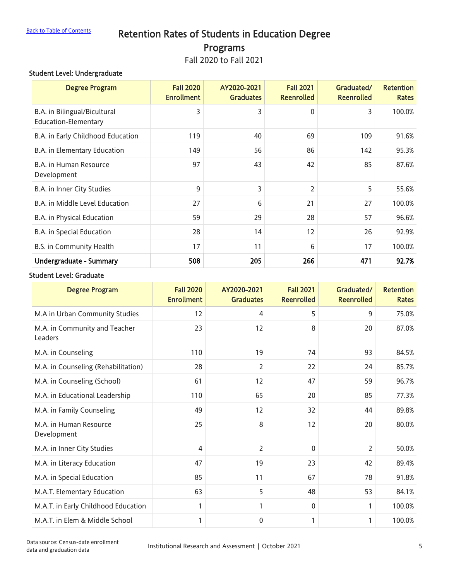# <span id="page-4-0"></span>[Back to Table of Contents](#page-0-0) Retention Rates of Students in Education Degree Programs

Fall 2020 to Fall 2021

#### Student Level: Undergraduate

| <b>Degree Program</b>                                | <b>Fall 2020</b><br><b>Enrollment</b> | AY2020-2021<br><b>Graduates</b> | <b>Fall 2021</b><br><b>Reenrolled</b> | Graduated/<br><b>Reenrolled</b> | <b>Retention</b><br><b>Rates</b> |
|------------------------------------------------------|---------------------------------------|---------------------------------|---------------------------------------|---------------------------------|----------------------------------|
| B.A. in Bilingual/Bicultural<br>Education-Elementary | 3                                     | 3                               | 0                                     | 3                               | 100.0%                           |
| B.A. in Early Childhood Education                    | 119                                   | 40                              | 69                                    | 109                             | 91.6%                            |
| B.A. in Elementary Education                         | 149                                   | 56                              | 86                                    | 142                             | 95.3%                            |
| <b>B.A.</b> in Human Resource<br>Development         | 97                                    | 43                              | 42                                    | 85                              | 87.6%                            |
| B.A. in Inner City Studies                           | 9                                     | 3                               | $\overline{2}$                        | 5                               | 55.6%                            |
| <b>B.A.</b> in Middle Level Education                | 27                                    | 6                               | 21                                    | 27                              | 100.0%                           |
| B.A. in Physical Education                           | 59                                    | 29                              | 28                                    | 57                              | 96.6%                            |
| B.A. in Special Education                            | 28                                    | 14                              | 12                                    | 26                              | 92.9%                            |
| B.S. in Community Health                             | 17                                    | 11                              | 6                                     | 17                              | 100.0%                           |
| <b>Undergraduate - Summary</b>                       | 508                                   | 205                             | 266                                   | 471                             | 92.7%                            |

#### Student Level: Graduate

| <b>Degree Program</b>                    | <b>Fall 2020</b><br><b>Enrollment</b> | AY2020-2021<br><b>Graduates</b> | <b>Fall 2021</b><br><b>Reenrolled</b> | Graduated/<br><b>Reenrolled</b> | <b>Retention</b><br><b>Rates</b> |
|------------------------------------------|---------------------------------------|---------------------------------|---------------------------------------|---------------------------------|----------------------------------|
| M.A in Urban Community Studies           | 12                                    | 4                               | 5                                     | 9                               | 75.0%                            |
| M.A. in Community and Teacher<br>Leaders | 23                                    | 12                              | 8                                     | 20                              | 87.0%                            |
| M.A. in Counseling                       | 110                                   | 19                              | 74                                    | 93                              | 84.5%                            |
| M.A. in Counseling (Rehabilitation)      | 28                                    | $\overline{2}$                  | 22                                    | 24                              | 85.7%                            |
| M.A. in Counseling (School)              | 61                                    | 12                              | 47                                    | 59                              | 96.7%                            |
| M.A. in Educational Leadership           | 110                                   | 65                              | 20                                    | 85                              | 77.3%                            |
| M.A. in Family Counseling                | 49                                    | 12                              | 32                                    | 44                              | 89.8%                            |
| M.A. in Human Resource<br>Development    | 25                                    | 8                               | 12                                    | 20                              | 80.0%                            |
| M.A. in Inner City Studies               | 4                                     | $\overline{2}$                  | $\Omega$                              | $\overline{2}$                  | 50.0%                            |
| M.A. in Literacy Education               | 47                                    | 19                              | 23                                    | 42                              | 89.4%                            |
| M.A. in Special Education                | 85                                    | 11                              | 67                                    | 78                              | 91.8%                            |
| M.A.T. Elementary Education              | 63                                    | 5                               | 48                                    | 53                              | 84.1%                            |
| M.A.T. in Early Childhood Education      | 1                                     | 1                               | $\mathbf{0}$                          | 1                               | 100.0%                           |
| M.A.T. in Elem & Middle School           | 1                                     | 0                               | $\mathbf{1}$                          | 1                               | 100.0%                           |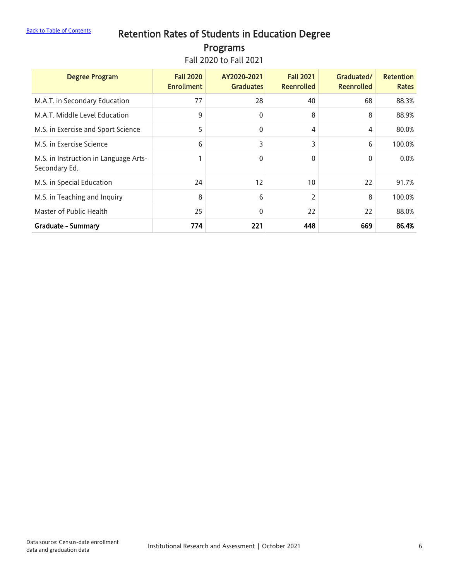# [Back to Table of Contents](#page-0-0) Retention Rates of Students in Education Degree Programs

Fall 2020 to Fall 2021

| <b>Degree Program</b>                                  | <b>Fall 2020</b><br><b>Enrollment</b> | AY2020-2021<br><b>Graduates</b> | <b>Fall 2021</b><br><b>Reenrolled</b> | Graduated/<br><b>Reenrolled</b> | <b>Retention</b><br><b>Rates</b> |
|--------------------------------------------------------|---------------------------------------|---------------------------------|---------------------------------------|---------------------------------|----------------------------------|
| M.A.T. in Secondary Education                          | 77                                    | 28                              | 40                                    | 68                              | 88.3%                            |
| M.A.T. Middle Level Education                          | 9                                     | 0                               | 8                                     | 8                               | 88.9%                            |
| M.S. in Exercise and Sport Science                     | 5                                     | 0                               | 4                                     | 4                               | 80.0%                            |
| M.S. in Exercise Science                               | 6                                     | 3                               | 3                                     | 6                               | 100.0%                           |
| M.S. in Instruction in Language Arts-<br>Secondary Ed. | 1                                     | 0                               | 0                                     | $\mathbf{0}$                    | 0.0%                             |
| M.S. in Special Education                              | 24                                    | 12                              | 10                                    | 22                              | 91.7%                            |
| M.S. in Teaching and Inquiry                           | 8                                     | 6                               | 2                                     | 8                               | 100.0%                           |
| Master of Public Health                                | 25                                    | $\mathbf 0$                     | 22                                    | 22                              | 88.0%                            |
| <b>Graduate - Summary</b>                              | 774                                   | 221                             | 448                                   | 669                             | 86.4%                            |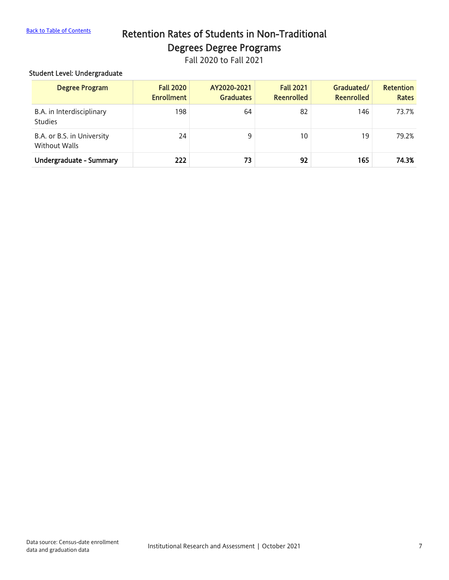# <span id="page-6-0"></span>[Back to Table of Contents](#page-0-0) Retention Rates of Students in Non-Traditional Degrees Degree Programs

Fall 2020 to Fall 2021

#### Student Level: Undergraduate

| <b>Degree Program</b>                              | <b>Fall 2020</b><br><b>Enrollment</b> | AY2020-2021<br><b>Graduates</b> | <b>Fall 2021</b><br><b>Reenrolled</b> | Graduated/<br><b>Reenrolled</b> | <b>Retention</b><br><b>Rates</b> |
|----------------------------------------------------|---------------------------------------|---------------------------------|---------------------------------------|---------------------------------|----------------------------------|
| B.A. in Interdisciplinary<br><b>Studies</b>        | 198                                   | 64                              | 82                                    | 146                             | 73.7%                            |
| B.A. or B.S. in University<br><b>Without Walls</b> | 24                                    | 9                               | 10                                    | 19                              | 79.2%                            |
| Undergraduate - Summary                            | 222                                   | 73                              | 92                                    | 165                             | 74.3%                            |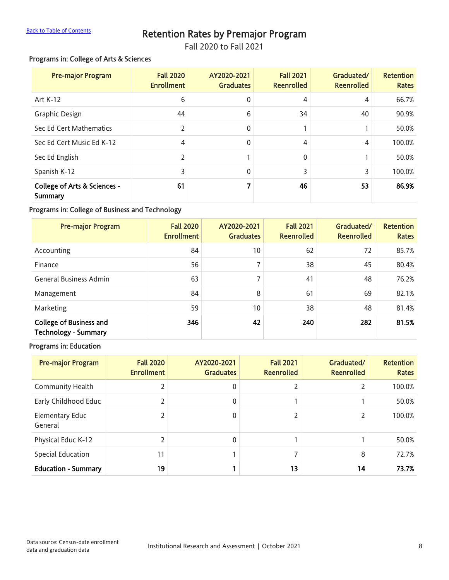# [Back to Table of Contents](#page-0-0) **Retention Rates by Premajor Program**

<span id="page-7-0"></span>Fall 2020 to Fall 2021

#### Programs in: College of Arts & Sciences

| <b>Pre-major Program</b>                | <b>Fall 2020</b><br><b>Enrollment</b> | AY2020-2021<br><b>Graduates</b> | <b>Fall 2021</b><br><b>Reenrolled</b> | Graduated/<br><b>Reenrolled</b> | <b>Retention</b><br><b>Rates</b> |
|-----------------------------------------|---------------------------------------|---------------------------------|---------------------------------------|---------------------------------|----------------------------------|
| Art K-12                                | 6                                     | 0                               | 4                                     | 4                               | 66.7%                            |
| <b>Graphic Design</b>                   | 44                                    | 6                               | 34                                    | 40                              | 90.9%                            |
| Sec Ed Cert Mathematics                 | $\overline{2}$                        | 0                               |                                       |                                 | 50.0%                            |
| Sec Ed Cert Music Ed K-12               | 4                                     | 0                               | 4                                     | 4                               | 100.0%                           |
| Sec Ed English                          | $\overline{2}$                        |                                 | 0                                     |                                 | 50.0%                            |
| Spanish K-12                            | 3                                     | 0                               | 3                                     | 3                               | 100.0%                           |
| College of Arts & Sciences -<br>Summary | 61                                    | 7                               | 46                                    | 53                              | 86.9%                            |

#### Programs in: College of Business and Technology

| <b>Pre-major Program</b>                                      | <b>Fall 2020</b><br><b>Enrollment</b> | AY2020-2021<br><b>Graduates</b> | <b>Fall 2021</b><br><b>Reenrolled</b> | Graduated/<br><b>Reenrolled</b> | <b>Retention</b><br><b>Rates</b> |
|---------------------------------------------------------------|---------------------------------------|---------------------------------|---------------------------------------|---------------------------------|----------------------------------|
| Accounting                                                    | 84                                    | 10 <sup>°</sup>                 | 62                                    | 72                              | 85.7%                            |
| Finance                                                       | 56                                    | 7                               | 38                                    | 45                              | 80.4%                            |
| <b>General Business Admin</b>                                 | 63                                    | 7                               | 41                                    | 48                              | 76.2%                            |
| Management                                                    | 84                                    | 8                               | 61                                    | 69                              | 82.1%                            |
| Marketing                                                     | 59                                    | 10                              | 38                                    | 48                              | 81.4%                            |
| <b>College of Business and</b><br><b>Technology - Summary</b> | 346                                   | 42                              | 240                                   | 282                             | 81.5%                            |

#### Programs in: Education

| <b>Pre-major Program</b>          | <b>Fall 2020</b><br><b>Enrollment</b> | AY2020-2021<br><b>Graduates</b> | <b>Fall 2021</b><br><b>Reenrolled</b> | Graduated/<br><b>Reenrolled</b> | <b>Retention</b><br><b>Rates</b> |
|-----------------------------------|---------------------------------------|---------------------------------|---------------------------------------|---------------------------------|----------------------------------|
| <b>Community Health</b>           |                                       | $\Omega$                        |                                       | $\overline{2}$                  | 100.0%                           |
| Early Childhood Educ              |                                       | $\Omega$                        |                                       | 1                               | 50.0%                            |
| <b>Elementary Educ</b><br>General |                                       | $\Omega$                        |                                       | 2                               | 100.0%                           |
| Physical Educ K-12                | ำ                                     | $\Omega$                        |                                       | $\mathbf{1}$                    | 50.0%                            |
| <b>Special Education</b>          | 11                                    |                                 |                                       | 8                               | 72.7%                            |
| <b>Education - Summary</b>        | 19                                    |                                 | 13                                    | 14                              | 73.7%                            |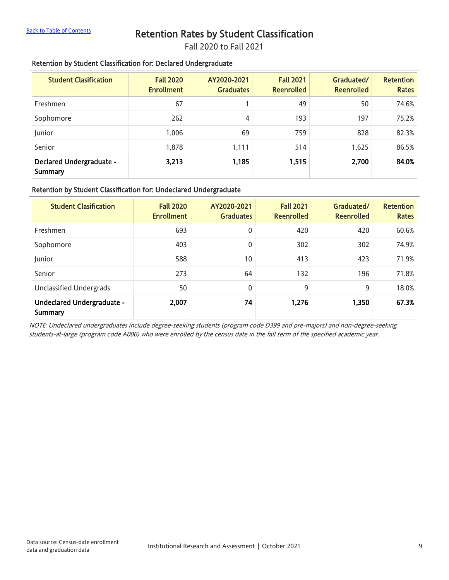## <span id="page-8-0"></span>[Back to Table of Contents](#page-0-0) Retention Rates by Student Classification

Fall 2020 to Fall 2021

#### Retention by Student Classification for: Declared Undergraduate

| <b>Student Clasification</b>        | <b>Fall 2020</b><br><b>Enrollment</b> | AY2020-2021<br><b>Graduates</b> | <b>Fall 2021</b><br><b>Reenrolled</b> | Graduated/<br><b>Reenrolled</b> | <b>Retention</b><br><b>Rates</b> |
|-------------------------------------|---------------------------------------|---------------------------------|---------------------------------------|---------------------------------|----------------------------------|
| Freshmen                            | 67                                    |                                 | 49                                    | 50                              | 74.6%                            |
| Sophomore                           | 262                                   | 4                               | 193                                   | 197                             | 75.2%                            |
| Junior                              | 1.006                                 | 69                              | 759                                   | 828                             | 82.3%                            |
| Senior                              | 1,878                                 | 1,111                           | 514                                   | 1,625                           | 86.5%                            |
| Declared Undergraduate -<br>Summary | 3,213                                 | 1,185                           | 1,515                                 | 2,700                           | 84.0%                            |

#### Retention by Student Classification for: Undeclared Undergraduate

| <b>Student Clasification</b>          | <b>Fall 2020</b><br><b>Enrollment</b> | AY2020-2021<br><b>Graduates</b> | <b>Fall 2021</b><br><b>Reenrolled</b> | Graduated/<br><b>Reenrolled</b> | <b>Retention</b><br><b>Rates</b> |
|---------------------------------------|---------------------------------------|---------------------------------|---------------------------------------|---------------------------------|----------------------------------|
| Freshmen                              | 693                                   | 0                               | 420                                   | 420                             | 60.6%                            |
| Sophomore                             | 403                                   | 0                               | 302                                   | 302                             | 74.9%                            |
| Junior                                | 588                                   | 10                              | 413                                   | 423                             | 71.9%                            |
| Senior                                | 273                                   | 64                              | 132                                   | 196                             | 71.8%                            |
| Unclassified Undergrads               | 50                                    | 0                               | 9                                     | 9                               | 18.0%                            |
| Undeclared Undergraduate -<br>Summary | 2,007                                 | 74                              | 1,276                                 | 1,350                           | 67.3%                            |

NOTE: Undeclared undergraduates include degree-seeking students (program code D399 and pre-majors) and non-degree-seeking students-at-large (program code A000) who were enrolled by the census date in the fall term of the specified academic year.